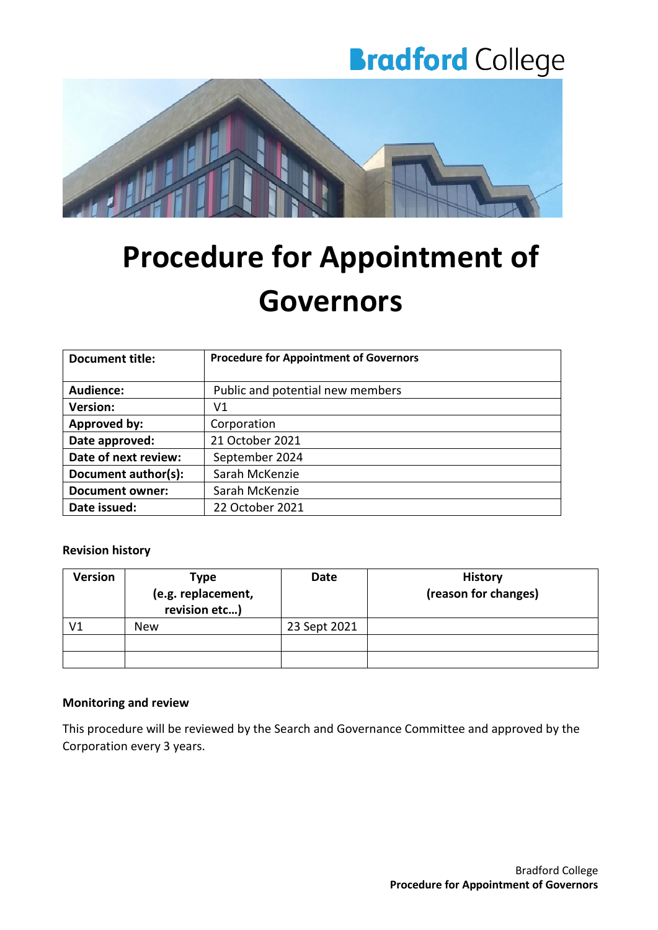# **Bradford College**



# **Procedure for Appointment of Governors**

| <b>Document title:</b> | <b>Procedure for Appointment of Governors</b> |  |
|------------------------|-----------------------------------------------|--|
|                        |                                               |  |
| Audience:              | Public and potential new members              |  |
| <b>Version:</b>        | V1                                            |  |
| Approved by:           | Corporation                                   |  |
| Date approved:         | 21 October 2021                               |  |
| Date of next review:   | September 2024                                |  |
| Document author(s):    | Sarah McKenzie                                |  |
| <b>Document owner:</b> | Sarah McKenzie                                |  |
| Date issued:           | 22 October 2021                               |  |

#### **Revision history**

| <b>Version</b> | <b>Type</b><br>(e.g. replacement,<br>revision etc) | Date         | <b>History</b><br>(reason for changes) |
|----------------|----------------------------------------------------|--------------|----------------------------------------|
| V1             | <b>New</b>                                         | 23 Sept 2021 |                                        |
|                |                                                    |              |                                        |
|                |                                                    |              |                                        |

#### **Monitoring and review**

This procedure will be reviewed by the Search and Governance Committee and approved by the Corporation every 3 years.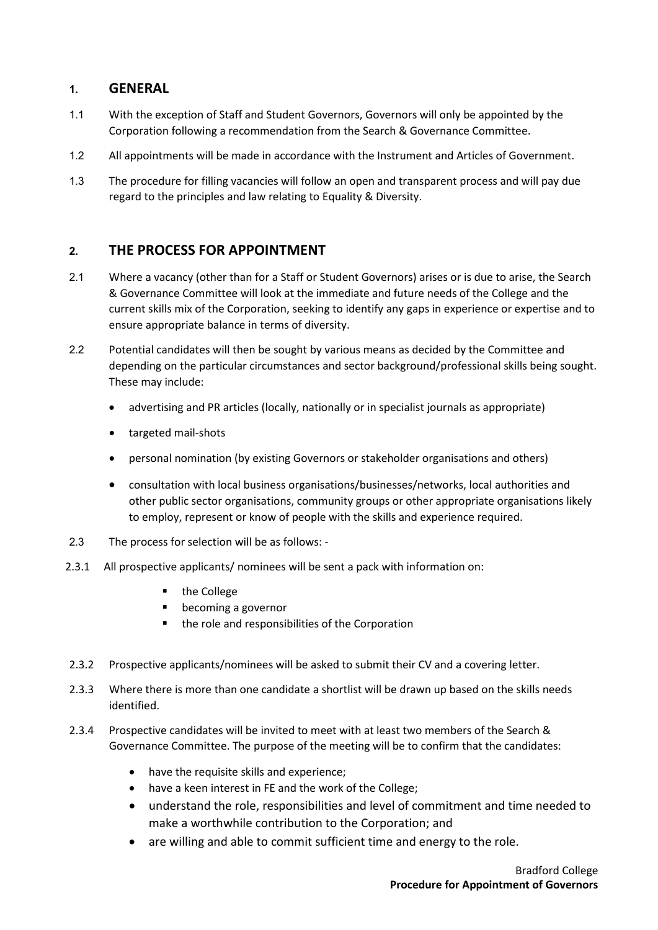## **1. GENERAL**

- 1.1 With the exception of Staff and Student Governors, Governors will only be appointed by the Corporation following a recommendation from the Search & Governance Committee.
- 1.2 All appointments will be made in accordance with the Instrument and Articles of Government.
- 1.3 The procedure for filling vacancies will follow an open and transparent process and will pay due regard to the principles and law relating to Equality & Diversity.

# **2. THE PROCESS FOR APPOINTMENT**

- 2.1 Where a vacancy (other than for a Staff or Student Governors) arises or is due to arise, the Search & Governance Committee will look at the immediate and future needs of the College and the current skills mix of the Corporation, seeking to identify any gaps in experience or expertise and to ensure appropriate balance in terms of diversity.
- 2.2 Potential candidates will then be sought by various means as decided by the Committee and depending on the particular circumstances and sector background/professional skills being sought. These may include:
	- advertising and PR articles (locally, nationally or in specialist journals as appropriate)
	- targeted mail-shots
	- personal nomination (by existing Governors or stakeholder organisations and others)
	- consultation with local business organisations/businesses/networks, local authorities and other public sector organisations, community groups or other appropriate organisations likely to employ, represent or know of people with the skills and experience required.
- 2.3 The process for selection will be as follows: -
- 2.3.1 All prospective applicants/ nominees will be sent a pack with information on:
	- **the College**
	- becoming a governor
	- the role and responsibilities of the Corporation
- 2.3.2 Prospective applicants/nominees will be asked to submit their CV and a covering letter.
- 2.3.3 Where there is more than one candidate a shortlist will be drawn up based on the skills needs identified.
- 2.3.4 Prospective candidates will be invited to meet with at least two members of the Search & Governance Committee. The purpose of the meeting will be to confirm that the candidates:
	- have the requisite skills and experience;
	- have a keen interest in FE and the work of the College;
	- understand the role, responsibilities and level of commitment and time needed to make a worthwhile contribution to the Corporation; and
	- are willing and able to commit sufficient time and energy to the role.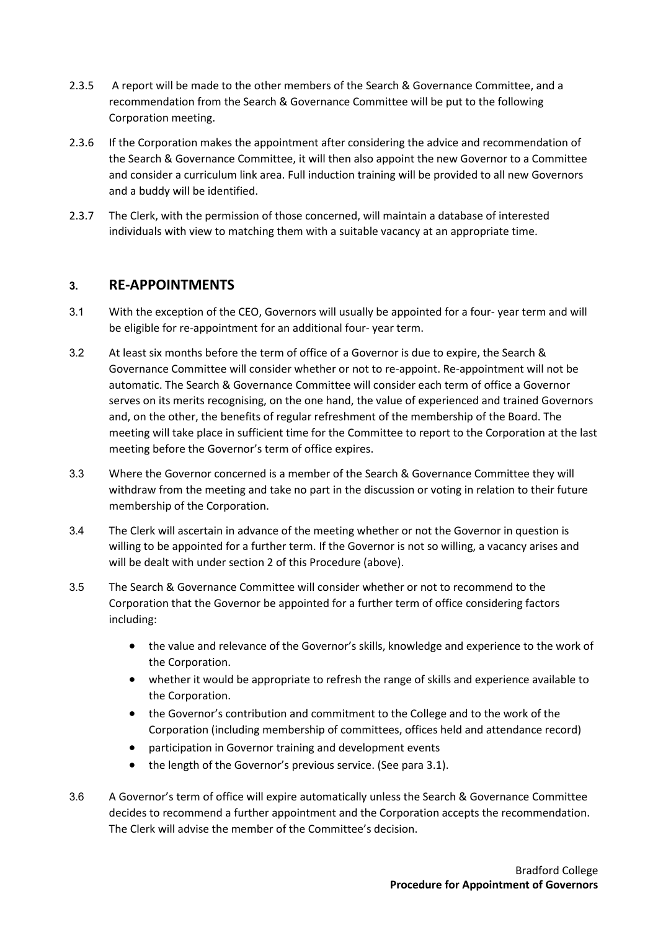- 2.3.5 A report will be made to the other members of the Search & Governance Committee, and a recommendation from the Search & Governance Committee will be put to the following Corporation meeting.
- 2.3.6 If the Corporation makes the appointment after considering the advice and recommendation of the Search & Governance Committee, it will then also appoint the new Governor to a Committee and consider a curriculum link area. Full induction training will be provided to all new Governors and a buddy will be identified.
- 2.3.7 The Clerk, with the permission of those concerned, will maintain a database of interested individuals with view to matching them with a suitable vacancy at an appropriate time.

#### **3. RE-APPOINTMENTS**

- 3.1 With the exception of the CEO, Governors will usually be appointed for a four- year term and will be eligible for re-appointment for an additional four- year term.
- 3.2 At least six months before the term of office of a Governor is due to expire, the Search & Governance Committee will consider whether or not to re-appoint. Re-appointment will not be automatic. The Search & Governance Committee will consider each term of office a Governor serves on its merits recognising, on the one hand, the value of experienced and trained Governors and, on the other, the benefits of regular refreshment of the membership of the Board. The meeting will take place in sufficient time for the Committee to report to the Corporation at the last meeting before the Governor's term of office expires.
- 3.3 Where the Governor concerned is a member of the Search & Governance Committee they will withdraw from the meeting and take no part in the discussion or voting in relation to their future membership of the Corporation.
- 3.4 The Clerk will ascertain in advance of the meeting whether or not the Governor in question is willing to be appointed for a further term. If the Governor is not so willing, a vacancy arises and will be dealt with under section 2 of this Procedure (above).
- 3.5 The Search & Governance Committee will consider whether or not to recommend to the Corporation that the Governor be appointed for a further term of office considering factors including:
	- the value and relevance of the Governor's skills, knowledge and experience to the work of the Corporation.
	- whether it would be appropriate to refresh the range of skills and experience available to the Corporation.
	- the Governor's contribution and commitment to the College and to the work of the Corporation (including membership of committees, offices held and attendance record)
	- participation in Governor training and development events
	- the length of the Governor's previous service. (See para 3.1).
- 3.6 A Governor's term of office will expire automatically unless the Search & Governance Committee decides to recommend a further appointment and the Corporation accepts the recommendation. The Clerk will advise the member of the Committee's decision.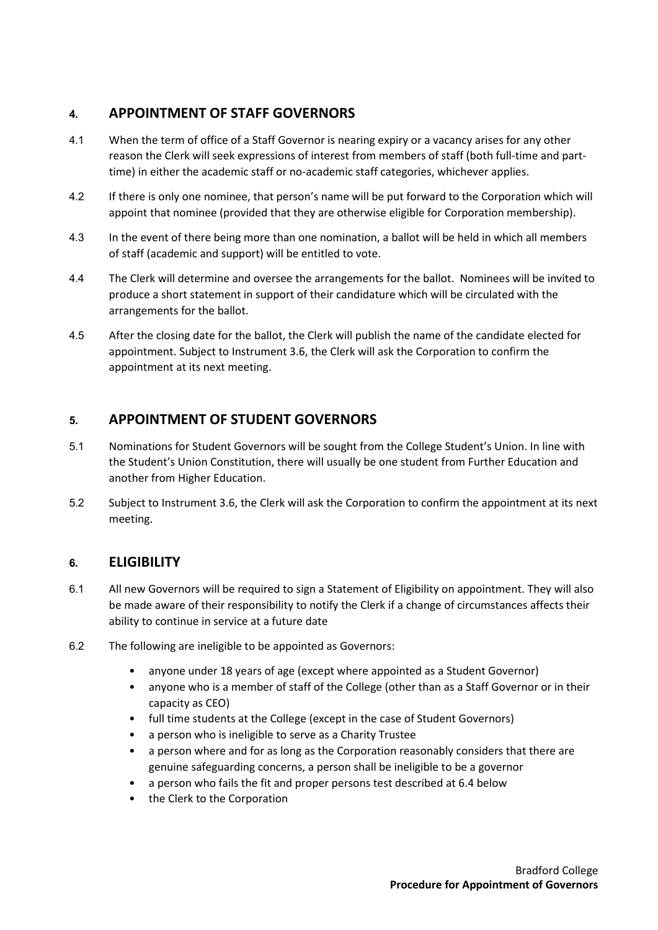# **4. APPOINTMENT OF STAFF GOVERNORS**

- 4.1 When the term of office of a Staff Governor is nearing expiry or a vacancy arises for any other reason the Clerk will seek expressions of interest from members of staff (both full-time and parttime) in either the academic staff or no-academic staff categories, whichever applies.
- 4.2 If there is only one nominee, that person's name will be put forward to the Corporation which will appoint that nominee (provided that they are otherwise eligible for Corporation membership).
- 4.3 In the event of there being more than one nomination, a ballot will be held in which all members of staff (academic and support) will be entitled to vote.
- 4.4 The Clerk will determine and oversee the arrangements for the ballot. Nominees will be invited to produce a short statement in support of their candidature which will be circulated with the arrangements for the ballot.
- 4.5 After the closing date for the ballot, the Clerk will publish the name of the candidate elected for appointment. Subject to Instrument 3.6, the Clerk will ask the Corporation to confirm the appointment at its next meeting.

# **5. APPOINTMENT OF STUDENT GOVERNORS**

- 5.1 Nominations for Student Governors will be sought from the College Student's Union. In line with the Student's Union Constitution, there will usually be one student from Further Education and another from Higher Education.
- 5.2 Subject to Instrument 3.6, the Clerk will ask the Corporation to confirm the appointment at its next meeting.

## **6. ELIGIBILITY**

- 6.1 All new Governors will be required to sign a Statement of Eligibility on appointment. They will also be made aware of their responsibility to notify the Clerk if a change of circumstances affects their ability to continue in service at a future date
- 6.2 The following are ineligible to be appointed as Governors:
	- anyone under 18 years of age (except where appointed as a Student Governor)
	- anyone who is a member of staff of the College (other than as a Staff Governor or in their capacity as CEO)
	- full time students at the College (except in the case of Student Governors)
	- a person who is ineligible to serve as a Charity Trustee
	- a person where and for as long as the Corporation reasonably considers that there are genuine safeguarding concerns, a person shall be ineligible to be a governor
	- a person who fails the fit and proper persons test described at 6.4 below
	- the Clerk to the Corporation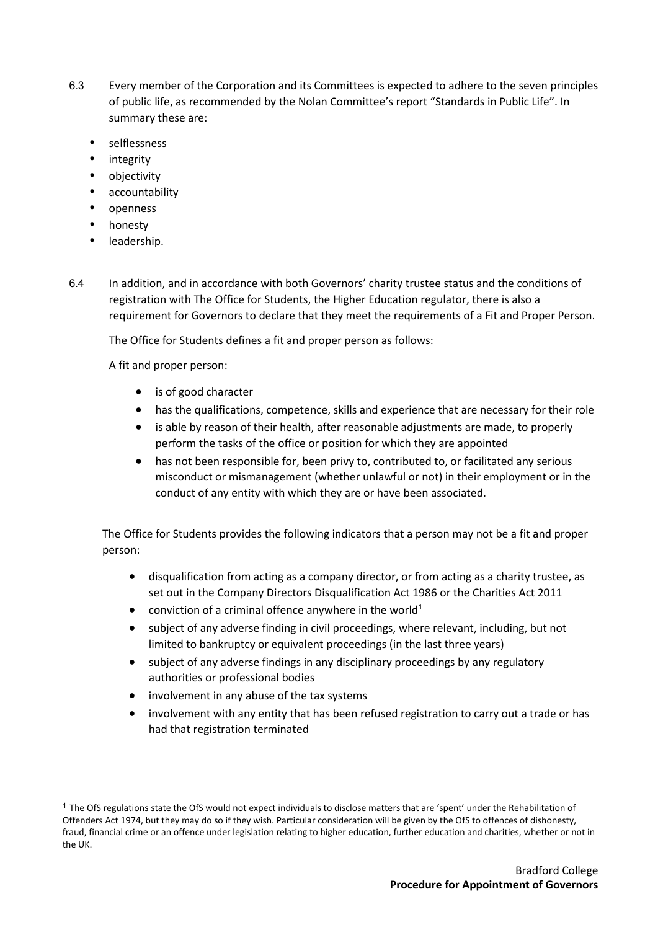- 6.3 Every member of the Corporation and its Committees is expected to adhere to the seven principles of public life, as recommended by the Nolan Committee's report "Standards in Public Life". In summary these are:
	- selflessness
	- integrity
	- objectivity
	- accountability
	- openness
	- honesty

 $\overline{a}$ 

- leadership.
- 6.4 In addition, and in accordance with both Governors' charity trustee status and the conditions of registration with The Office for Students, the Higher Education regulator, there is also a requirement for Governors to declare that they meet the requirements of a Fit and Proper Person.

The Office for Students defines a fit and proper person as follows:

A fit and proper person:

- is of good character
- has the qualifications, competence, skills and experience that are necessary for their role
- is able by reason of their health, after reasonable adjustments are made, to properly perform the tasks of the office or position for which they are appointed
- has not been responsible for, been privy to, contributed to, or facilitated any serious misconduct or mismanagement (whether unlawful or not) in their employment or in the conduct of any entity with which they are or have been associated.

The Office for Students provides the following indicators that a person may not be a fit and proper person:

- disqualification from acting as a company director, or from acting as a charity trustee, as set out in the Company Directors Disqualification Act 1986 or the Charities Act 2011
- conviction of a criminal offence anywhere in the world<sup>[1](#page-4-0)</sup>
- subject of any adverse finding in civil proceedings, where relevant, including, but not limited to bankruptcy or equivalent proceedings (in the last three years)
- subject of any adverse findings in any disciplinary proceedings by any regulatory authorities or professional bodies
- involvement in any abuse of the tax systems
- involvement with any entity that has been refused registration to carry out a trade or has had that registration terminated

<span id="page-4-0"></span><sup>&</sup>lt;sup>1</sup> The OfS regulations state the OfS would not expect individuals to disclose matters that are 'spent' under the Rehabilitation of Offenders Act 1974, but they may do so if they wish. Particular consideration will be given by the OfS to offences of dishonesty, fraud, financial crime or an offence under legislation relating to higher education, further education and charities, whether or not in the UK.